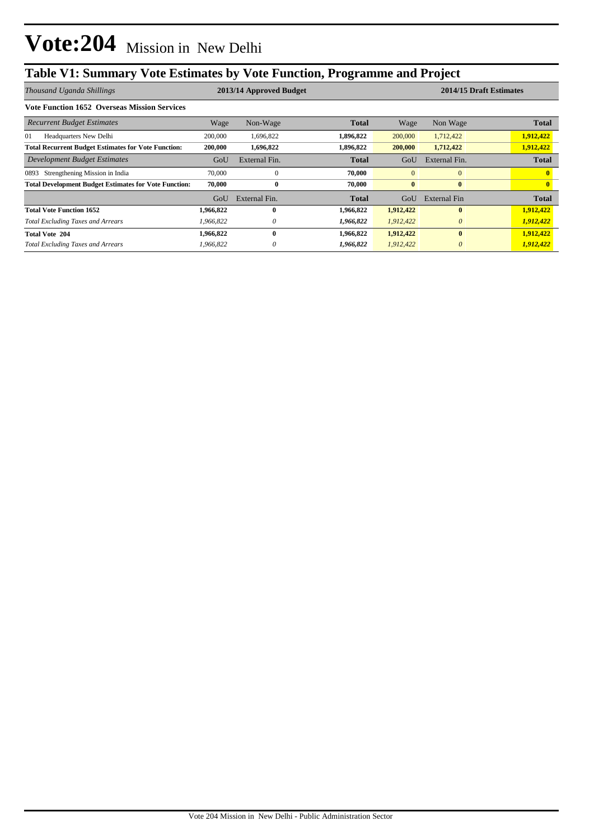## **Table V1: Summary Vote Estimates by Vote Function, Programme and Project**

| Thousand Uganda Shillings                                    |           | 2013/14 Approved Budget |              |              | 2014/15 Draft Estimates |              |  |
|--------------------------------------------------------------|-----------|-------------------------|--------------|--------------|-------------------------|--------------|--|
| <b>Vote Function 1652 Overseas Mission Services</b>          |           |                         |              |              |                         |              |  |
| <b>Recurrent Budget Estimates</b>                            | Wage      | Non-Wage                | <b>Total</b> | Wage         | Non Wage                | <b>Total</b> |  |
| 01<br><b>Headquarters New Delhi</b>                          | 200,000   | 1,696,822               | 1,896,822    | 200,000      | 1,712,422               | 1,912,422    |  |
| <b>Total Recurrent Budget Estimates for Vote Function:</b>   | 200,000   | 1,696,822               | 1,896,822    | 200,000      | 1,712,422               | 1,912,422    |  |
| Development Budget Estimates                                 | GoU       | External Fin.           | <b>Total</b> | GoU          | External Fin.           | <b>Total</b> |  |
| Strengthening Mission in India<br>0893                       | 70,000    | $\theta$                | 70,000       | $\mathbf{0}$ | $\mathbf{0}$            |              |  |
| <b>Total Development Budget Estimates for Vote Function:</b> | 70.000    | $\bf{0}$                | 70.000       | $\mathbf{0}$ | $\bf{0}$                |              |  |
|                                                              | GoU       | External Fin.           | <b>Total</b> | GoU          | External Fin            | <b>Total</b> |  |
| <b>Total Vote Function 1652</b>                              | 1,966,822 | 0                       | 1,966,822    | 1,912,422    | $\mathbf{0}$            | 1,912,422    |  |
| <b>Total Excluding Taxes and Arrears</b>                     | 1,966,822 | 0                       | 1,966,822    | 1,912,422    | $\theta$                | 1,912,422    |  |
| <b>Total Vote 204</b>                                        | 1,966,822 | 0                       | 1,966,822    | 1,912,422    | $\bf{0}$                | 1,912,422    |  |
| <b>Total Excluding Taxes and Arrears</b>                     | 1,966,822 |                         | 1,966,822    | 1,912,422    | $\theta$                | 1,912,422    |  |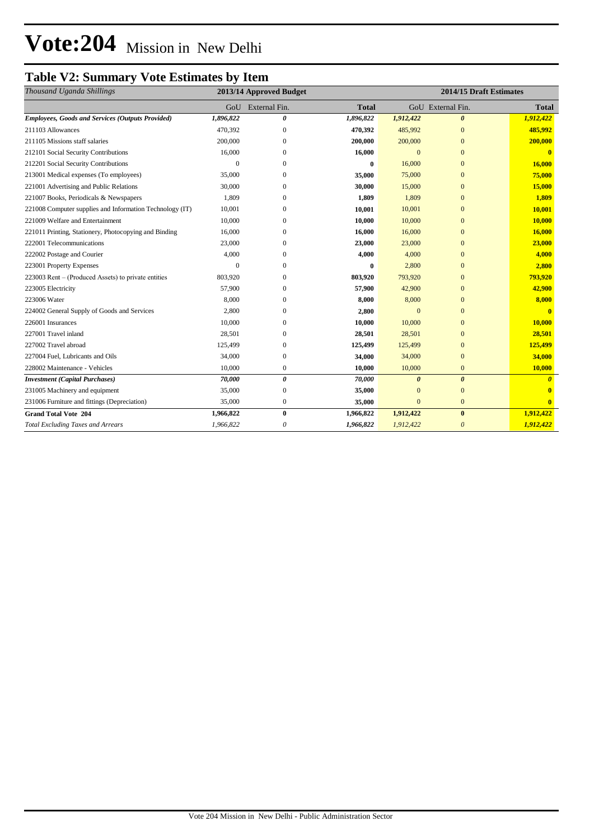# **Vote:204** Mission in New Delhi

### **Table V2: Summary Vote Estimates by Item**

| Thousand Uganda Shillings                                | 2013/14 Approved Budget |                       | 2014/15 Draft Estimates |                |                       |              |
|----------------------------------------------------------|-------------------------|-----------------------|-------------------------|----------------|-----------------------|--------------|
|                                                          | GoU                     | External Fin.         | <b>Total</b>            |                | GoU External Fin.     | <b>Total</b> |
| <b>Employees, Goods and Services (Outputs Provided)</b>  | 1,896,822               | 0                     | 1,896,822               | 1,912,422      | $\boldsymbol{\theta}$ | 1,912,422    |
| 211103 Allowances                                        | 470,392                 | $\mathbf{0}$          | 470,392                 | 485,992        | $\mathbf{0}$          | 485,992      |
| 211105 Missions staff salaries                           | 200,000                 | $\Omega$              | 200,000                 | 200,000        | $\Omega$              | 200,000      |
| 212101 Social Security Contributions                     | 16,000                  | $\Omega$              | 16,000                  | $\overline{0}$ | $\overline{0}$        | $\mathbf{0}$ |
| 212201 Social Security Contributions                     | 0                       | $\Omega$              | $\mathbf{0}$            | 16,000         | $\Omega$              | 16,000       |
| 213001 Medical expenses (To employees)                   | 35,000                  | $\Omega$              | 35,000                  | 75,000         | $\mathbf{0}$          | 75,000       |
| 221001 Advertising and Public Relations                  | 30,000                  | 0                     | 30,000                  | 15,000         | $\mathbf{0}$          | 15,000       |
| 221007 Books, Periodicals & Newspapers                   | 1,809                   | $\Omega$              | 1,809                   | 1,809          | $\Omega$              | 1,809        |
| 221008 Computer supplies and Information Technology (IT) | 10,001                  | $\Omega$              | 10,001                  | 10,001         | $\overline{0}$        | 10,001       |
| 221009 Welfare and Entertainment                         | 10,000                  | $\Omega$              | 10,000                  | 10,000         | $\mathbf{0}$          | 10,000       |
| 221011 Printing, Stationery, Photocopying and Binding    | 16,000                  | $\Omega$              | 16,000                  | 16,000         | $\mathbf{0}$          | 16,000       |
| 222001 Telecommunications                                | 23,000                  | 0                     | 23,000                  | 23,000         | $\mathbf{0}$          | 23,000       |
| 222002 Postage and Courier                               | 4,000                   | $\Omega$              | 4,000                   | 4,000          | $\Omega$              | 4,000        |
| 223001 Property Expenses                                 | $\Omega$                | $\Omega$              | $\bf{0}$                | 2,800          | $\mathbf{0}$          | 2,800        |
| 223003 Rent – (Produced Assets) to private entities      | 803,920                 | $\Omega$              | 803,920                 | 793,920        | $\mathbf{0}$          | 793,920      |
| 223005 Electricity                                       | 57,900                  | $\Omega$              | 57,900                  | 42,900         | $\mathbf{0}$          | 42,900       |
| 223006 Water                                             | 8,000                   | $\Omega$              | 8,000                   | 8,000          | $\mathbf{0}$          | 8,000        |
| 224002 General Supply of Goods and Services              | 2,800                   | $\Omega$              | 2,800                   | $\overline{0}$ | $\overline{0}$        | $\mathbf{0}$ |
| 226001 Insurances                                        | 10,000                  | $\mathbf{0}$          | 10,000                  | 10,000         | $\mathbf{0}$          | 10,000       |
| 227001 Travel inland                                     | 28,501                  | $\mathbf{0}$          | 28,501                  | 28,501         | $\mathbf{0}$          | 28,501       |
| 227002 Travel abroad                                     | 125,499                 | $\mathbf{0}$          | 125,499                 | 125,499        | $\overline{0}$        | 125,499      |
| 227004 Fuel, Lubricants and Oils                         | 34,000                  | $\mathbf{0}$          | 34,000                  | 34,000         | $\overline{0}$        | 34,000       |
| 228002 Maintenance - Vehicles                            | 10,000                  | $\mathbf{0}$          | 10,000                  | 10,000         | $\mathbf{0}$          | 10,000       |
| <b>Investment</b> (Capital Purchases)                    | 70,000                  | $\boldsymbol{\theta}$ | 70,000                  | $\theta$       | $\theta$              |              |
| 231005 Machinery and equipment                           | 35,000                  | $\bf{0}$              | 35,000                  | $\mathbf{0}$   | $\mathbf{0}$          |              |
| 231006 Furniture and fittings (Depreciation)             | 35,000                  | $\boldsymbol{0}$      | 35,000                  | $\mathbf{0}$   | $\overline{0}$        |              |
| <b>Grand Total Vote 204</b>                              | 1,966,822               | $\bf{0}$              | 1,966,822               | 1,912,422      | $\bf{0}$              | 1,912,422    |
| <b>Total Excluding Taxes and Arrears</b>                 | 1,966,822               | 0                     | 1,966,822               | 1,912,422      | $\theta$              | 1,912,422    |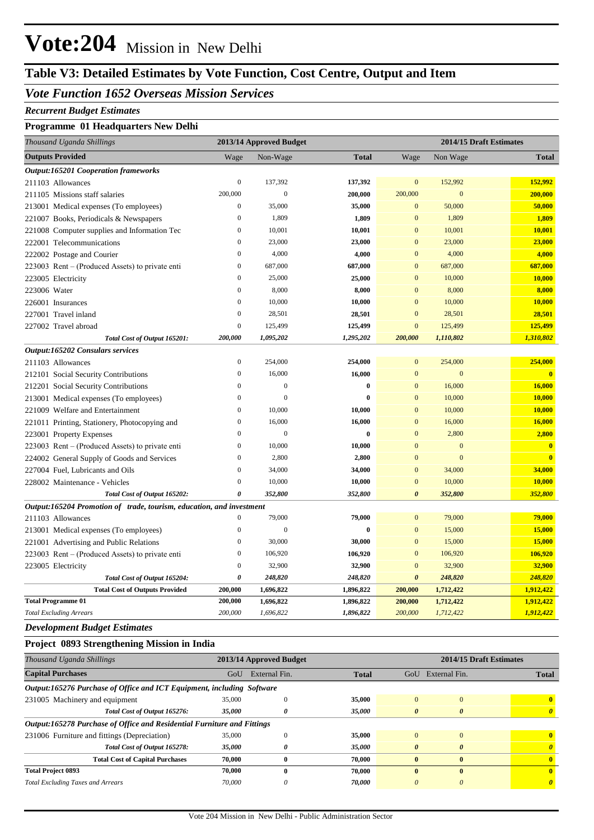# **Vote:204** Mission in New Delhi

## **Table V3: Detailed Estimates by Vote Function, Cost Centre, Output and Item**

#### *Vote Function 1652 Overseas Mission Services*

#### *Recurrent Budget Estimates*

#### **Programme 01 Headquarters New Delhi**

| Thousand Uganda Shillings                                            | 2013/14 Approved Budget |                  | 2014/15 Draft Estimates |                       |              |                         |
|----------------------------------------------------------------------|-------------------------|------------------|-------------------------|-----------------------|--------------|-------------------------|
| <b>Outputs Provided</b>                                              | Wage                    | Non-Wage         | <b>Total</b>            | Wage                  | Non Wage     | <b>Total</b>            |
| <b>Output:165201 Cooperation frameworks</b>                          |                         |                  |                         |                       |              |                         |
| 211103 Allowances                                                    | $\mathbf{0}$            | 137,392          | 137,392                 | $\mathbf{0}$          | 152,992      | 152,992                 |
| 211105 Missions staff salaries                                       | 200,000                 | $\mathbf{0}$     | 200,000                 | 200,000               | $\mathbf{0}$ | 200,000                 |
| 213001 Medical expenses (To employees)                               | $\boldsymbol{0}$        | 35,000           | 35,000                  | $\boldsymbol{0}$      | 50,000       | 50,000                  |
| 221007 Books, Periodicals & Newspapers                               | $\boldsymbol{0}$        | 1,809            | 1,809                   | $\mathbf{0}$          | 1,809        | 1,809                   |
| 221008 Computer supplies and Information Tec                         | $\boldsymbol{0}$        | 10,001           | 10,001                  | $\overline{0}$        | 10,001       | 10,001                  |
| 222001 Telecommunications                                            | $\mathbf{0}$            | 23,000           | 23,000                  | $\mathbf{0}$          | 23,000       | 23,000                  |
| 222002 Postage and Courier                                           | $\boldsymbol{0}$        | 4,000            | 4,000                   | $\mathbf{0}$          | 4,000        | 4,000                   |
| 223003 Rent – (Produced Assets) to private enti                      | $\boldsymbol{0}$        | 687,000          | 687,000                 | $\mathbf{0}$          | 687,000      | 687,000                 |
| 223005 Electricity                                                   | $\boldsymbol{0}$        | 25,000           | 25,000                  | $\mathbf{0}$          | 10,000       | 10,000                  |
| 223006 Water                                                         | $\boldsymbol{0}$        | 8,000            | 8,000                   | $\mathbf{0}$          | 8,000        | 8,000                   |
| 226001 Insurances                                                    | $\boldsymbol{0}$        | 10,000           | 10,000                  | $\mathbf{0}$          | 10,000       | 10,000                  |
| 227001 Travel inland                                                 | $\boldsymbol{0}$        | 28,501           | 28,501                  | $\mathbf{0}$          | 28,501       | 28,501                  |
| 227002 Travel abroad                                                 | $\boldsymbol{0}$        | 125,499          | 125,499                 | $\boldsymbol{0}$      | 125,499      | 125,499                 |
| Total Cost of Output 165201:                                         | 200,000                 | 1,095,202        | 1,295,202               | 200,000               | 1,110,802    | 1,310,802               |
| <b>Output:165202 Consulars services</b>                              |                         |                  |                         |                       |              |                         |
| 211103 Allowances                                                    | $\boldsymbol{0}$        | 254,000          | 254,000                 | $\mathbf{0}$          | 254,000      | 254,000                 |
| 212101 Social Security Contributions                                 | $\boldsymbol{0}$        | 16,000           | 16,000                  | $\mathbf{0}$          | $\mathbf{0}$ | $\overline{\mathbf{0}}$ |
| 212201 Social Security Contributions                                 | $\mathbf{0}$            | $\boldsymbol{0}$ | $\bf{0}$                | $\mathbf{0}$          | 16,000       | 16,000                  |
| 213001 Medical expenses (To employees)                               | $\boldsymbol{0}$        | $\mathbf{0}$     | $\bf{0}$                | $\mathbf{0}$          | 10,000       | 10,000                  |
| 221009 Welfare and Entertainment                                     | $\boldsymbol{0}$        | 10,000           | 10,000                  | $\mathbf{0}$          | 10,000       | 10,000                  |
| 221011 Printing, Stationery, Photocopying and                        | $\boldsymbol{0}$        | 16,000           | 16,000                  | $\mathbf{0}$          | 16,000       | 16,000                  |
| 223001 Property Expenses                                             | $\boldsymbol{0}$        | $\mathbf{0}$     | $\bf{0}$                | $\mathbf{0}$          | 2,800        | 2,800                   |
| 223003 Rent – (Produced Assets) to private enti                      | $\boldsymbol{0}$        | 10,000           | 10,000                  | $\mathbf{0}$          | $\mathbf{0}$ | $\bf{0}$                |
| 224002 General Supply of Goods and Services                          | $\boldsymbol{0}$        | 2,800            | 2,800                   | $\mathbf{0}$          | $\mathbf{0}$ | $\overline{\mathbf{0}}$ |
| 227004 Fuel, Lubricants and Oils                                     | $\boldsymbol{0}$        | 34,000           | 34,000                  | $\mathbf{0}$          | 34,000       | 34,000                  |
| 228002 Maintenance - Vehicles                                        | $\mathbf{0}$            | 10,000           | 10,000                  | $\mathbf{0}$          | 10,000       | 10,000                  |
| Total Cost of Output 165202:                                         | 0                       | 352,800          | 352,800                 | $\boldsymbol{\theta}$ | 352,800      | 352,800                 |
| Output:165204 Promotion of trade, tourism, education, and investment |                         |                  |                         |                       |              |                         |
| 211103 Allowances                                                    | $\boldsymbol{0}$        | 79,000           | 79,000                  | $\mathbf{0}$          | 79,000       | 79,000                  |
| 213001 Medical expenses (To employees)                               | $\boldsymbol{0}$        | $\overline{0}$   | $\bf{0}$                | $\mathbf{0}$          | 15,000       | 15,000                  |
| 221001 Advertising and Public Relations                              | $\boldsymbol{0}$        | 30,000           | 30,000                  | $\mathbf{0}$          | 15,000       | 15,000                  |
| 223003 Rent – (Produced Assets) to private enti                      | $\boldsymbol{0}$        | 106,920          | 106,920                 | $\mathbf{0}$          | 106,920      | 106,920                 |
| 223005 Electricity                                                   | $\boldsymbol{0}$        | 32,900           | 32,900                  | $\mathbf{0}$          | 32,900       | 32,900                  |
| Total Cost of Output 165204:                                         | 0                       | 248,820          | 248,820                 | $\boldsymbol{\theta}$ | 248,820      | 248,820                 |
| <b>Total Cost of Outputs Provided</b>                                | 200,000                 | 1,696,822        | 1,896,822               | 200,000               | 1,712,422    | 1,912,422               |
| <b>Total Programme 01</b>                                            | 200,000                 | 1,696,822        | 1,896,822               | 200,000               | 1,712,422    | 1,912,422               |
| <b>Total Excluding Arrears</b>                                       | 200,000                 | 1,696,822        | 1,896,822               | 200,000               | 1,712,422    | 1,912,422               |

#### *Development Budget Estimates*

#### **Project 0893 Strengthening Mission in India**

| Thousand Uganda Shillings                                               | 2013/14 Approved Budget |               |              |              | 2014/15 Draft Estimates |              |  |  |
|-------------------------------------------------------------------------|-------------------------|---------------|--------------|--------------|-------------------------|--------------|--|--|
| <b>Capital Purchases</b>                                                | GoU                     | External Fin. | <b>Total</b> | GoU          | External Fin.           | <b>Total</b> |  |  |
| Output:165276 Purchase of Office and ICT Equipment, including Software  |                         |               |              |              |                         |              |  |  |
| 231005 Machinery and equipment                                          | 35,000                  | $\Omega$      | 35,000       | $\Omega$     | $\Omega$                | $\mathbf{0}$ |  |  |
| Total Cost of Output 165276:                                            | 35,000                  | 0             | 35,000       | 0            | $\boldsymbol{\theta}$   | $\theta$     |  |  |
| Output:165278 Purchase of Office and Residential Furniture and Fittings |                         |               |              |              |                         |              |  |  |
| 231006 Furniture and fittings (Depreciation)                            | 35,000                  | $\Omega$      | 35,000       | $\Omega$     | $\Omega$                | 0            |  |  |
| Total Cost of Output 165278:                                            | 35,000                  | 0             | 35,000       | $\theta$     | $\theta$                |              |  |  |
| <b>Total Cost of Capital Purchases</b>                                  | 70,000                  | $\mathbf{0}$  | 70,000       | $\mathbf{0}$ | $\mathbf{0}$            | $\mathbf{0}$ |  |  |
| <b>Total Project 0893</b>                                               | 70,000                  | $\bf{0}$      | 70,000       | 0            | $\mathbf{0}$            | $\mathbf{0}$ |  |  |
| <b>Total Excluding Taxes and Arrears</b>                                | 70,000                  | 0             | 70,000       | 0            | 0                       |              |  |  |